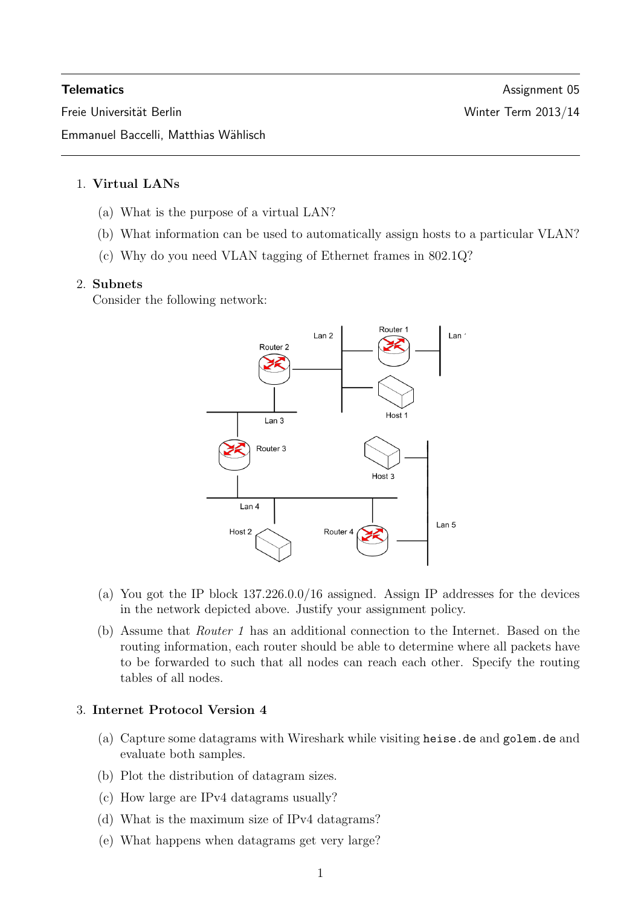Freie Universität Berlin Winter Term 2013/14

## 1. Virtual LANs

- (a) What is the purpose of a virtual LAN?
- (b) What information can be used to automatically assign hosts to a particular VLAN?
- (c) Why do you need VLAN tagging of Ethernet frames in 802.1Q?

#### 2. Subnets

Consider the following network:



- (a) You got the IP block 137.226.0.0/16 assigned. Assign IP addresses for the devices in the network depicted above. Justify your assignment policy.
- (b) Assume that Router 1 has an additional connection to the Internet. Based on the routing information, each router should be able to determine where all packets have to be forwarded to such that all nodes can reach each other. Specify the routing tables of all nodes.

## 3. Internet Protocol Version 4

- (a) Capture some datagrams with Wireshark while visiting heise.de and golem.de and evaluate both samples.
- (b) Plot the distribution of datagram sizes.
- (c) How large are IPv4 datagrams usually?
- (d) What is the maximum size of IPv4 datagrams?
- (e) What happens when datagrams get very large?